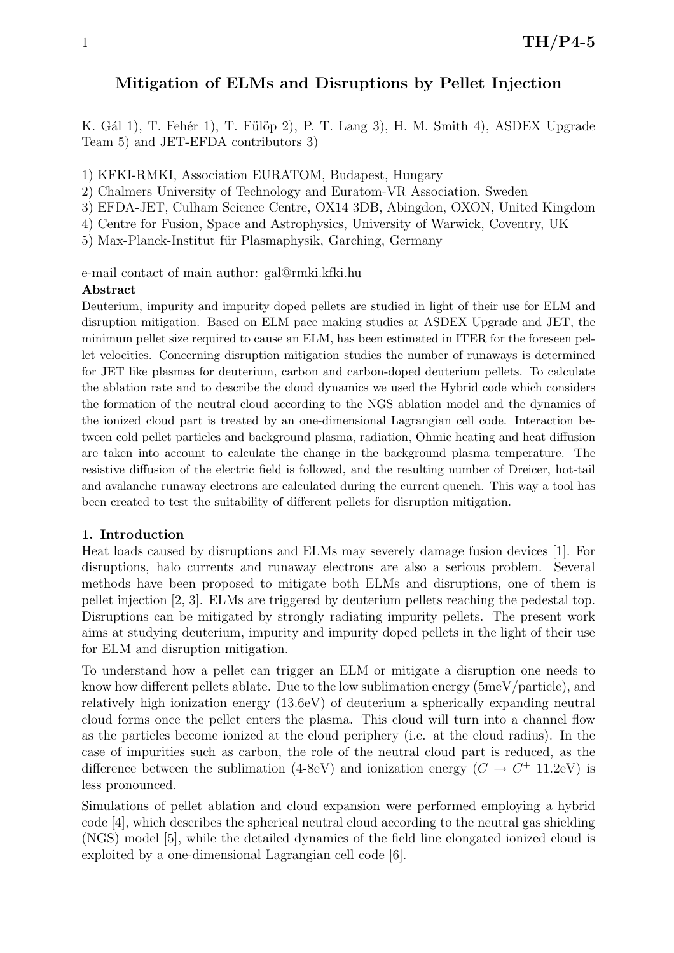# Mitigation of ELMs and Disruptions by Pellet Injection

K. Gál 1), T. Fehér 1), T. Fülöp 2), P. T. Lang 3), H. M. Smith 4), ASDEX Upgrade Team 5) and JET-EFDA contributors 3)

1) KFKI-RMKI, Association EURATOM, Budapest, Hungary

2) Chalmers University of Technology and Euratom-VR Association, Sweden

3) EFDA-JET, Culham Science Centre, OX14 3DB, Abingdon, OXON, United Kingdom

4) Centre for Fusion, Space and Astrophysics, University of Warwick, Coventry, UK

5) Max-Planck-Institut für Plasmaphysik, Garching, Germany

e-mail contact of main author: gal@rmki.kfki.hu

# Abstract

Deuterium, impurity and impurity doped pellets are studied in light of their use for ELM and disruption mitigation. Based on ELM pace making studies at ASDEX Upgrade and JET, the minimum pellet size required to cause an ELM, has been estimated in ITER for the foreseen pellet velocities. Concerning disruption mitigation studies the number of runaways is determined for JET like plasmas for deuterium, carbon and carbon-doped deuterium pellets. To calculate the ablation rate and to describe the cloud dynamics we used the Hybrid code which considers the formation of the neutral cloud according to the NGS ablation model and the dynamics of the ionized cloud part is treated by an one-dimensional Lagrangian cell code. Interaction between cold pellet particles and background plasma, radiation, Ohmic heating and heat diffusion are taken into account to calculate the change in the background plasma temperature. The resistive diffusion of the electric field is followed, and the resulting number of Dreicer, hot-tail and avalanche runaway electrons are calculated during the current quench. This way a tool has been created to test the suitability of different pellets for disruption mitigation.

# 1. Introduction

Heat loads caused by disruptions and ELMs may severely damage fusion devices [1]. For disruptions, halo currents and runaway electrons are also a serious problem. Several methods have been proposed to mitigate both ELMs and disruptions, one of them is pellet injection [2, 3]. ELMs are triggered by deuterium pellets reaching the pedestal top. Disruptions can be mitigated by strongly radiating impurity pellets. The present work aims at studying deuterium, impurity and impurity doped pellets in the light of their use for ELM and disruption mitigation.

To understand how a pellet can trigger an ELM or mitigate a disruption one needs to know how different pellets ablate. Due to the low sublimation energy (5meV/particle), and relatively high ionization energy (13.6eV) of deuterium a spherically expanding neutral cloud forms once the pellet enters the plasma. This cloud will turn into a channel flow as the particles become ionized at the cloud periphery (i.e. at the cloud radius). In the case of impurities such as carbon, the role of the neutral cloud part is reduced, as the difference between the sublimation (4-8eV) and ionization energy  $(C \rightarrow C^+$  11.2eV) is less pronounced.

Simulations of pellet ablation and cloud expansion were performed employing a hybrid code [4], which describes the spherical neutral cloud according to the neutral gas shielding (NGS) model [5], while the detailed dynamics of the field line elongated ionized cloud is exploited by a one-dimensional Lagrangian cell code [6].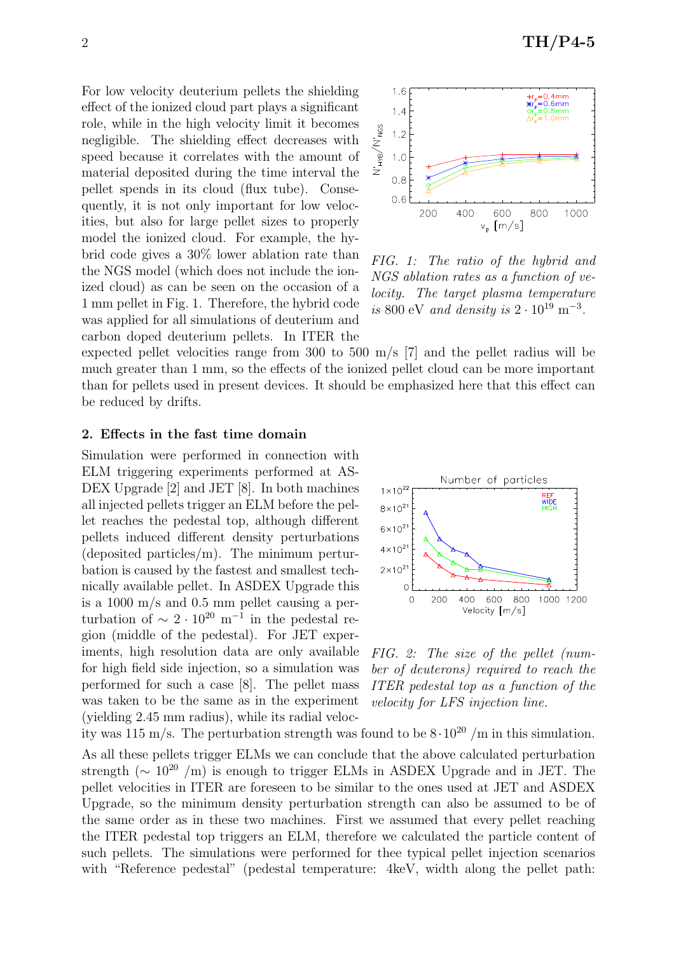For low velocity deuterium pellets the shielding effect of the ionized cloud part plays a significant role, while in the high velocity limit it becomes negligible. The shielding effect decreases with speed because it correlates with the amount of material deposited during the time interval the pellet spends in its cloud (flux tube). Consequently, it is not only important for low velocities, but also for large pellet sizes to properly model the ionized cloud. For example, the hybrid code gives a 30% lower ablation rate than the NGS model (which does not include the ionized cloud) as can be seen on the occasion of a 1 mm pellet in Fig. 1. Therefore, the hybrid code was applied for all simulations of deuterium and carbon doped deuterium pellets. In ITER the



FIG. 1: The ratio of the hybrid and NGS ablation rates as a function of velocity. The target plasma temperature is 800 eV and density is  $2 \cdot 10^{19}$  m<sup>-3</sup>.

expected pellet velocities range from 300 to 500 m/s [7] and the pellet radius will be much greater than 1 mm, so the effects of the ionized pellet cloud can be more important than for pellets used in present devices. It should be emphasized here that this effect can be reduced by drifts.

## 2. Effects in the fast time domain

Simulation were performed in connection with ELM triggering experiments performed at AS-DEX Upgrade [2] and JET [8]. In both machines all injected pellets trigger an ELM before the pellet reaches the pedestal top, although different pellets induced different density perturbations (deposited particles/m). The minimum perturbation is caused by the fastest and smallest technically available pellet. In ASDEX Upgrade this is a 1000 m/s and 0.5 mm pellet causing a perturbation of  $\sim 2 \cdot 10^{20}$  m<sup>-1</sup> in the pedestal region (middle of the pedestal). For JET experiments, high resolution data are only available for high field side injection, so a simulation was performed for such a case [8]. The pellet mass was taken to be the same as in the experiment (yielding 2.45 mm radius), while its radial veloc-



FIG. 2: The size of the pellet (number of deuterons) required to reach the ITER pedestal top as a function of the velocity for LFS injection line.

ity was 115 m/s. The perturbation strength was found to be  $8 \cdot 10^{20}$  /m in this simulation. As all these pellets trigger ELMs we can conclude that the above calculated perturbation strength ( $\sim 10^{20}$  /m) is enough to trigger ELMs in ASDEX Upgrade and in JET. The pellet velocities in ITER are foreseen to be similar to the ones used at JET and ASDEX Upgrade, so the minimum density perturbation strength can also be assumed to be of the same order as in these two machines. First we assumed that every pellet reaching the ITER pedestal top triggers an ELM, therefore we calculated the particle content of such pellets. The simulations were performed for thee typical pellet injection scenarios with "Reference pedestal" (pedestal temperature: 4keV, width along the pellet path: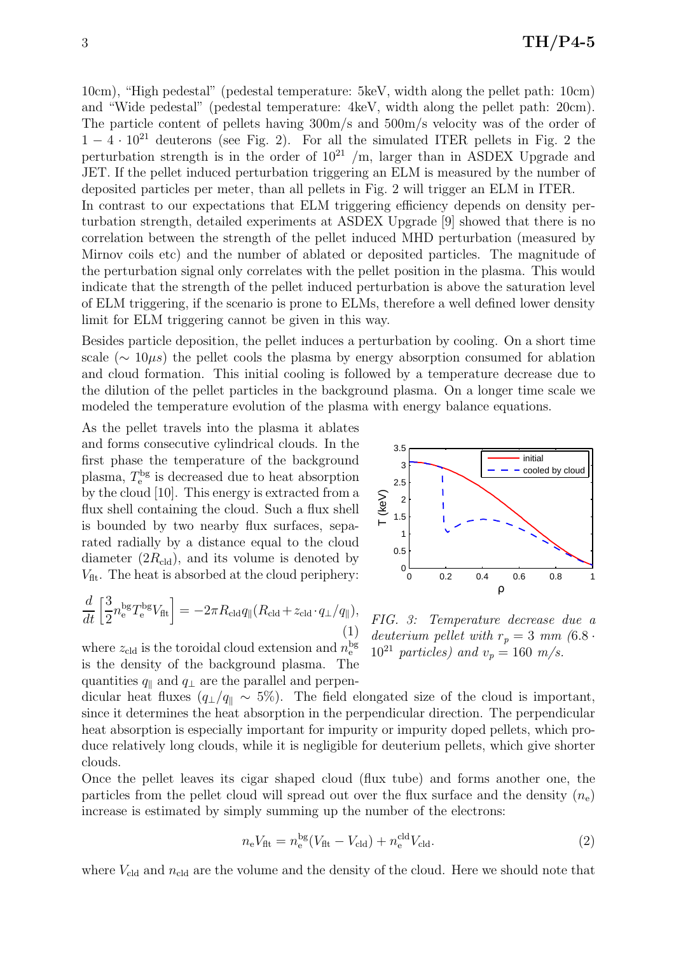10cm), "High pedestal" (pedestal temperature: 5keV, width along the pellet path: 10cm) and "Wide pedestal" (pedestal temperature: 4keV, width along the pellet path: 20cm). The particle content of pellets having 300m/s and 500m/s velocity was of the order of  $1 - 4 \cdot 10^{21}$  deuterons (see Fig. 2). For all the simulated ITER pellets in Fig. 2 the perturbation strength is in the order of  $10^{21}$  /m, larger than in ASDEX Upgrade and JET. If the pellet induced perturbation triggering an ELM is measured by the number of deposited particles per meter, than all pellets in Fig. 2 will trigger an ELM in ITER. In contrast to our expectations that ELM triggering efficiency depends on density perturbation strength, detailed experiments at ASDEX Upgrade [9] showed that there is no correlation between the strength of the pellet induced MHD perturbation (measured by Mirnov coils etc) and the number of ablated or deposited particles. The magnitude of the perturbation signal only correlates with the pellet position in the plasma. This would indicate that the strength of the pellet induced perturbation is above the saturation level of ELM triggering, if the scenario is prone to ELMs, therefore a well defined lower density limit for ELM triggering cannot be given in this way.

Besides particle deposition, the pellet induces a perturbation by cooling. On a short time scale ( $\sim 10 \mu s$ ) the pellet cools the plasma by energy absorption consumed for ablation and cloud formation. This initial cooling is followed by a temperature decrease due to the dilution of the pellet particles in the background plasma. On a longer time scale we modeled the temperature evolution of the plasma with energy balance equations.

As the pellet travels into the plasma it ablates and forms consecutive cylindrical clouds. In the first phase the temperature of the background plasma,  $T_{\rm e}^{\rm bg}$  is decreased due to heat absorption by the cloud [10]. This energy is extracted from a flux shell containing the cloud. Such a flux shell is bounded by two nearby flux surfaces, separated radially by a distance equal to the cloud diameter  $(2R_{\rm{cld}})$ , and its volume is denoted by  $V_{\text{fit}}$ . The heat is absorbed at the cloud periphery:

$$
\frac{d}{dt} \left[ \frac{3}{2} n_e^{\text{bg}} T_e^{\text{bg}} V_{\text{fit}} \right] = -2\pi R_{\text{cld}} q_{\parallel} (R_{\text{cld}} + z_{\text{cld}} \cdot q_{\perp} / q_{\parallel}),\tag{1}
$$

where  $z_{\text{cld}}$  is the toroidal cloud extension and  $n_{\text{e}}^{\text{bg}}$ is the density of the background plasma. The quantities  $q_{\parallel}$  and  $q_{\perp}$  are the parallel and perpen-



FIG. 3: Temperature decrease due a deuterium pellet with  $r_p = 3$  mm  $(6.8 \cdot$  $10^{21}$  particles) and  $v_p = 160$  m/s.

dicular heat fluxes  $(q_\perp/q_\parallel \sim 5\%)$ . The field elongated size of the cloud is important, since it determines the heat absorption in the perpendicular direction. The perpendicular heat absorption is especially important for impurity or impurity doped pellets, which produce relatively long clouds, while it is negligible for deuterium pellets, which give shorter clouds.

Once the pellet leaves its cigar shaped cloud (flux tube) and forms another one, the particles from the pellet cloud will spread out over the flux surface and the density  $(n_e)$ increase is estimated by simply summing up the number of the electrons:

$$
n_e V_{\text{ft}} = n_e^{\text{bg}} (V_{\text{ft}} - V_{\text{cld}}) + n_e^{\text{cd}} V_{\text{cld}}.
$$
\n
$$
(2)
$$

where  $V_{\text{cld}}$  and  $n_{\text{cld}}$  are the volume and the density of the cloud. Here we should note that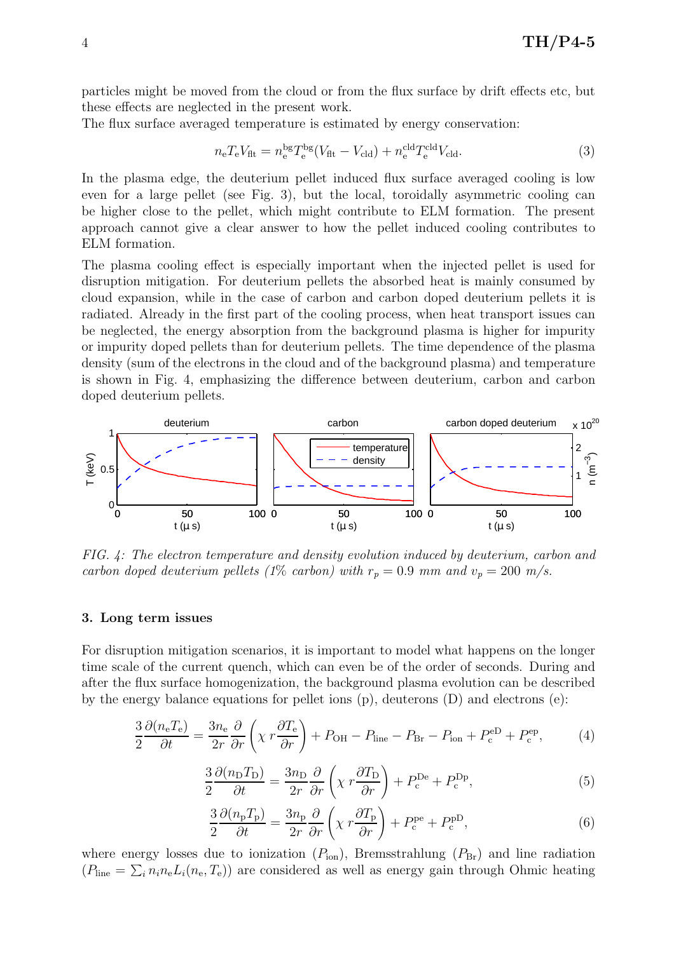particles might be moved from the cloud or from the flux surface by drift effects etc, but these effects are neglected in the present work.

The flux surface averaged temperature is estimated by energy conservation:

$$
n_{\rm e}T_{\rm e}V_{\rm fit} = n_{\rm e}^{\rm bg}T_{\rm e}^{\rm bg}(V_{\rm fit} - V_{\rm cld}) + n_{\rm e}^{\rm cd}T_{\rm e}^{\rm cd}V_{\rm cld}.
$$
\n(3)

In the plasma edge, the deuterium pellet induced flux surface averaged cooling is low even for a large pellet (see Fig. 3), but the local, toroidally asymmetric cooling can be higher close to the pellet, which might contribute to ELM formation. The present approach cannot give a clear answer to how the pellet induced cooling contributes to ELM formation.

The plasma cooling effect is especially important when the injected pellet is used for disruption mitigation. For deuterium pellets the absorbed heat is mainly consumed by cloud expansion, while in the case of carbon and carbon doped deuterium pellets it is radiated. Already in the first part of the cooling process, when heat transport issues can be neglected, the energy absorption from the background plasma is higher for impurity or impurity doped pellets than for deuterium pellets. The time dependence of the plasma density (sum of the electrons in the cloud and of the background plasma) and temperature is shown in Fig. 4, emphasizing the difference between deuterium, carbon and carbon doped deuterium pellets.



FIG. 4: The electron temperature and density evolution induced by deuterium, carbon and carbon doped deuterium pellets (1% carbon) with  $r_p = 0.9$  mm and  $v_p = 200$  m/s.

### 3. Long term issues

For disruption mitigation scenarios, it is important to model what happens on the longer time scale of the current quench, which can even be of the order of seconds. During and after the flux surface homogenization, the background plasma evolution can be described by the energy balance equations for pellet ions  $(p)$ , deuterons  $(D)$  and electrons  $(e)$ :

$$
\frac{3}{2}\frac{\partial (n_{\rm e}T_{\rm e})}{\partial t} = \frac{3n_{\rm e}}{2r}\frac{\partial}{\partial r}\left(\chi r \frac{\partial T_{\rm e}}{\partial r}\right) + P_{\rm OH} - P_{\rm line} - P_{\rm Br} - P_{\rm ion} + P_{\rm c}^{\rm eD} + P_{\rm c}^{\rm ep},\tag{4}
$$

$$
\frac{3}{2}\frac{\partial(n_{\rm D}T_{\rm D})}{\partial t} = \frac{3n_{\rm D}}{2r}\frac{\partial}{\partial r}\left(\chi r \frac{\partial T_{\rm D}}{\partial r}\right) + P_{\rm c}^{\rm De} + P_{\rm c}^{\rm Dp},\tag{5}
$$

$$
\frac{3}{2}\frac{\partial(n_{\rm p}T_{\rm p})}{\partial t} = \frac{3n_{\rm p}}{2r}\frac{\partial}{\partial r}\left(\chi r \frac{\partial T_{\rm p}}{\partial r}\right) + P_{\rm c}^{\rm pe} + P_{\rm c}^{\rm pD},\tag{6}
$$

where energy losses due to ionization  $(P_{\text{ion}})$ , Bremsstrahlung  $(P_{\text{Br}})$  and line radiation  $(P_{\text{line}} = \sum_i n_i n_e L_i(n_e, T_e))$  are considered as well as energy gain through Ohmic heating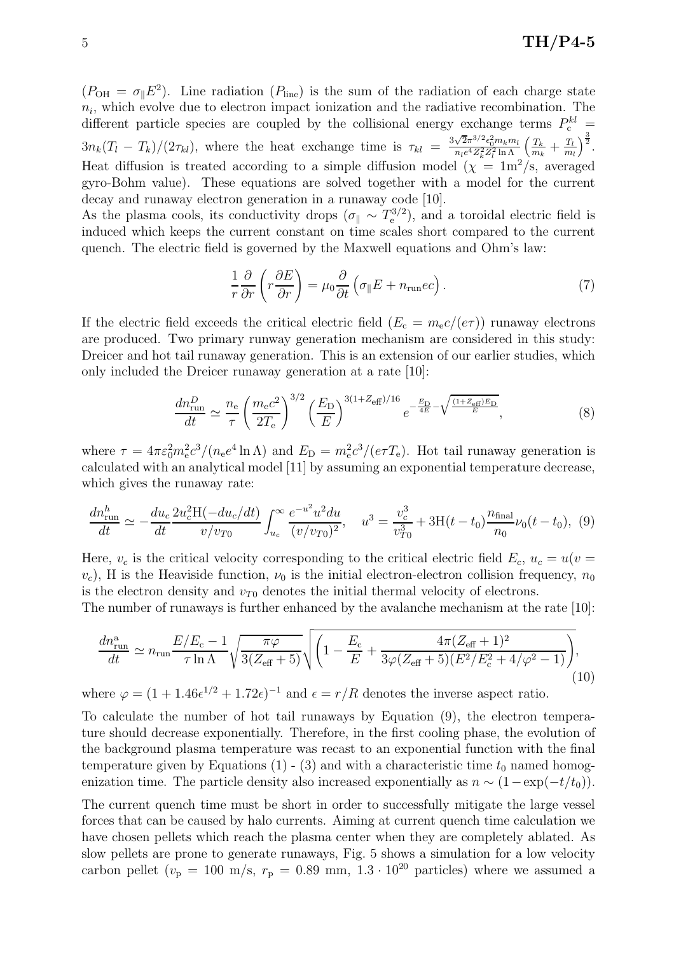$(P_{\text{OH}} = \sigma_{\parallel} E^2)$ . Line radiation  $(P_{\text{line}})$  is the sum of the radiation of each charge state  $n_i$ , which evolve due to electron impact ionization and the radiative recombination. The different particle species are coupled by the collisional energy exchange terms  $P_c^{kl}$  =  $3n_k(T_l - T_k)/(2\tau_{kl}),$  where the heat exchange time is  $\tau_{kl} = \frac{3\sqrt{2}\pi^{3/2}\epsilon_0^2 m_k m_l}{me^4 Z_l^2 Z_l^2 \ln \Lambda}$  $\frac{\sqrt{2\pi^{3/2}\epsilon_0^2}m_k m_l}{n_l e^4 Z_k^2 Z_l^2 \ln\Lambda}\left(\frac{T_k}{m_k}\right)$  $\frac{T_k}{m_k}+\frac{T_l}{m_l}$  $m_l$  $\Big)^{\frac{3}{2}}$ . Heat diffusion is treated according to a simple diffusion model ( $\chi = 1 \text{m}^2/\text{s}$ , averaged gyro-Bohm value). These equations are solved together with a model for the current decay and runaway electron generation in a runaway code [10].

As the plasma cools, its conductivity drops  $(\sigma_{\parallel} \sim T_e^{3/2})$ , and a toroidal electric field is induced which keeps the current constant on time scales short compared to the current quench. The electric field is governed by the Maxwell equations and Ohm's law:

$$
\frac{1}{r}\frac{\partial}{\partial r}\left(r\frac{\partial E}{\partial r}\right) = \mu_0 \frac{\partial}{\partial t}\left(\sigma_{\parallel} E + n_{\rm run}ec\right). \tag{7}
$$

If the electric field exceeds the critical electric field  $(E_c = m_e c/(e\tau))$  runaway electrons are produced. Two primary runway generation mechanism are considered in this study: Dreicer and hot tail runaway generation. This is an extension of our earlier studies, which only included the Dreicer runaway generation at a rate [10]:

$$
\frac{dn_{\text{run}}^D}{dt} \simeq \frac{n_e}{\tau} \left(\frac{m_e c^2}{2T_e}\right)^{3/2} \left(\frac{E_D}{E}\right)^{3(1+Z_{\text{eff}})/16} e^{-\frac{E_D}{4E} - \sqrt{\frac{(1+Z_{\text{eff}})E_D}{E}}},\tag{8}
$$

where  $\tau = 4\pi \varepsilon_0^2 m_e^2 c^3/(n_e e^4 \ln \Lambda)$  and  $E_D = m_e^2 c^3/(e \tau T_e)$ . Hot tail runaway generation is calculated with an analytical model [11] by assuming an exponential temperature decrease, which gives the runaway rate:

$$
\frac{dn_{\text{run}}^h}{dt} \simeq -\frac{du_c}{dt} \frac{2u_c^2 \text{H}(-du_c/dt)}{v/v_{T0}} \int_{u_c}^{\infty} \frac{e^{-u^2} u^2 du}{(v/v_{T0})^2}, \quad u^3 = \frac{v_c^3}{v_{T0}^3} + 3\text{H}(t - t_0) \frac{n_{\text{final}}}{n_0} \nu_0(t - t_0), \tag{9}
$$

Here,  $v_c$  is the critical velocity corresponding to the critical electric field  $E_c$ ,  $u_c = u(v =$  $v_c$ ), H is the Heaviside function,  $\nu_0$  is the initial electron-electron collision frequency,  $n_0$ is the electron density and  $v_{T0}$  denotes the initial thermal velocity of electrons.

The number of runaways is further enhanced by the avalanche mechanism at the rate [10]:

$$
\frac{dn_{\text{run}}^{\text{a}}}{dt} \simeq n_{\text{run}} \frac{E/E_{\text{c}} - 1}{\tau \ln \Lambda} \sqrt{\frac{\pi \varphi}{3(Z_{\text{eff}} + 5)}} \sqrt{\left(1 - \frac{E_{\text{c}}}{E} + \frac{4\pi (Z_{\text{eff}} + 1)^2}{3\varphi(Z_{\text{eff}} + 5)(E^2/E_{\text{c}}^2 + 4/\varphi^2 - 1)}\right)},\tag{10}
$$

where  $\varphi = (1 + 1.46\epsilon^{1/2} + 1.72\epsilon)^{-1}$  and  $\epsilon = r/R$  denotes the inverse aspect ratio.

To calculate the number of hot tail runaways by Equation (9), the electron temperature should decrease exponentially. Therefore, in the first cooling phase, the evolution of the background plasma temperature was recast to an exponential function with the final temperature given by Equations (1) - (3) and with a characteristic time  $t_0$  named homogenization time. The particle density also increased exponentially as  $n \sim (1-\exp(-t/t_0))$ .

The current quench time must be short in order to successfully mitigate the large vessel forces that can be caused by halo currents. Aiming at current quench time calculation we have chosen pellets which reach the plasma center when they are completely ablated. As slow pellets are prone to generate runaways, Fig. 5 shows a simulation for a low velocity carbon pellet  $(v_p = 100 \text{ m/s}, r_p = 0.89 \text{ mm}, 1.3 \cdot 10^{20} \text{ particles})$  where we assumed a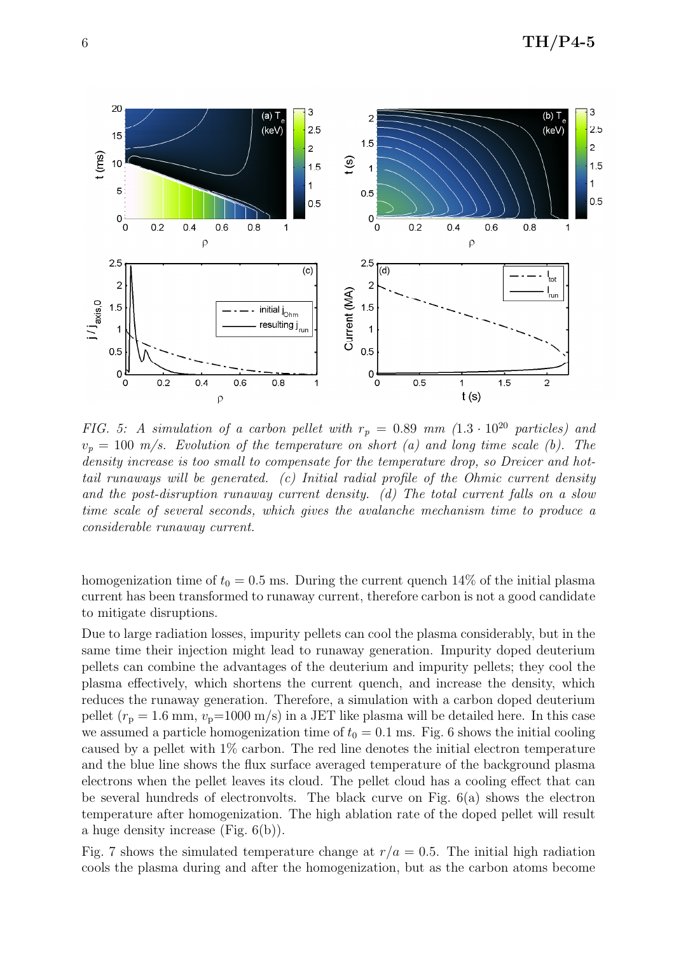

FIG. 5: A simulation of a carbon pellet with  $r_p = 0.89$  mm  $(1.3 \cdot 10^{20}$  particles) and  $v_p = 100$  m/s. Evolution of the temperature on short (a) and long time scale (b). The density increase is too small to compensate for the temperature drop, so Dreicer and hottail runaways will be generated. (c) Initial radial profile of the Ohmic current density and the post-disruption runaway current density. (d) The total current falls on a slow time scale of several seconds, which gives the avalanche mechanism time to produce a considerable runaway current.

homogenization time of  $t_0 = 0.5$  ms. During the current quench 14% of the initial plasma current has been transformed to runaway current, therefore carbon is not a good candidate to mitigate disruptions.

Due to large radiation losses, impurity pellets can cool the plasma considerably, but in the same time their injection might lead to runaway generation. Impurity doped deuterium pellets can combine the advantages of the deuterium and impurity pellets; they cool the plasma effectively, which shortens the current quench, and increase the density, which reduces the runaway generation. Therefore, a simulation with a carbon doped deuterium pellet  $(r_p = 1.6 \text{ mm}, v_p=1000 \text{ m/s})$  in a JET like plasma will be detailed here. In this case we assumed a particle homogenization time of  $t_0 = 0.1$  ms. Fig. 6 shows the initial cooling caused by a pellet with 1% carbon. The red line denotes the initial electron temperature and the blue line shows the flux surface averaged temperature of the background plasma electrons when the pellet leaves its cloud. The pellet cloud has a cooling effect that can be several hundreds of electronvolts. The black curve on Fig. 6(a) shows the electron temperature after homogenization. The high ablation rate of the doped pellet will result a huge density increase (Fig. 6(b)).

Fig. 7 shows the simulated temperature change at  $r/a = 0.5$ . The initial high radiation cools the plasma during and after the homogenization, but as the carbon atoms become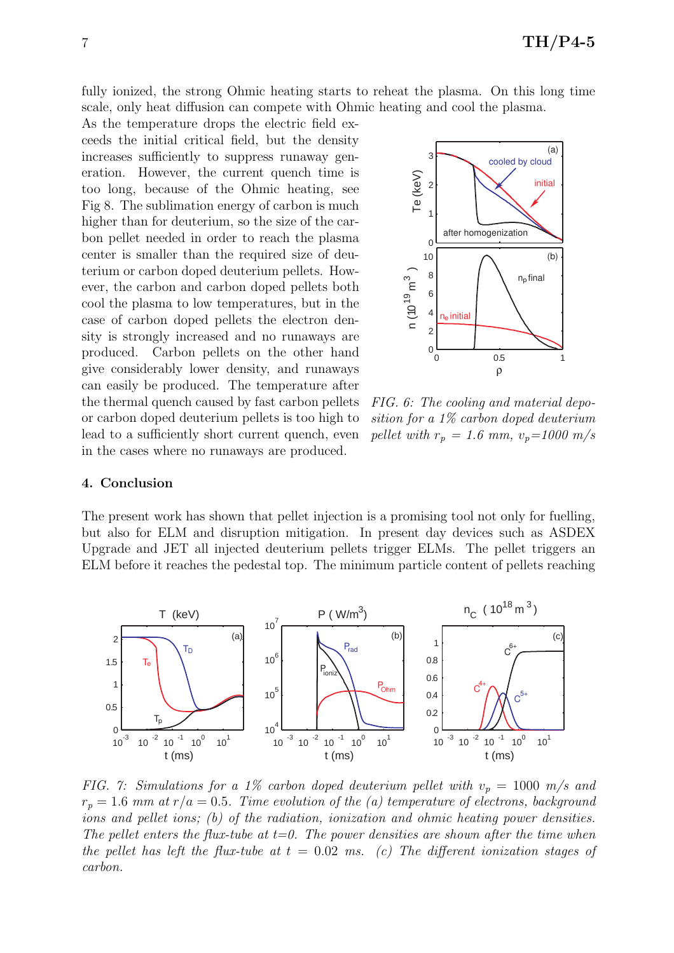fully ionized, the strong Ohmic heating starts to reheat the plasma. On this long time scale, only heat diffusion can compete with Ohmic heating and cool the plasma.

As the temperature drops the electric field exceeds the initial critical field, but the density increases sufficiently to suppress runaway generation. However, the current quench time is too long, because of the Ohmic heating, see Fig 8. The sublimation energy of carbon is much higher than for deuterium, so the size of the carbon pellet needed in order to reach the plasma center is smaller than the required size of deuterium or carbon doped deuterium pellets. However, the carbon and carbon doped pellets both cool the plasma to low temperatures, but in the case of carbon doped pellets the electron density is strongly increased and no runaways are produced. Carbon pellets on the other hand give considerably lower density, and runaways can easily be produced. The temperature after the thermal quench caused by fast carbon pellets or carbon doped deuterium pellets is too high to lead to a sufficiently short current quench, even in the cases where no runaways are produced.



FIG. 6: The cooling and material deposition for a 1% carbon doped deuterium pellet with  $r_p = 1.6$  mm,  $v_p = 1000$  m/s

### 4. Conclusion

The present work has shown that pellet injection is a promising tool not only for fuelling, but also for ELM and disruption mitigation. In present day devices such as ASDEX Upgrade and JET all injected deuterium pellets trigger ELMs. The pellet triggers an ELM before it reaches the pedestal top. The minimum particle content of pellets reaching



FIG. 7: Simulations for a 1% carbon doped deuterium pellet with  $v_p = 1000$  m/s and  $r_p = 1.6$  mm at  $r/a = 0.5$ . Time evolution of the (a) temperature of electrons, background ions and pellet ions; (b) of the radiation, ionization and ohmic heating power densities. The pellet enters the flux-tube at  $t=0$ . The power densities are shown after the time when the pellet has left the flux-tube at  $t = 0.02$  ms. (c) The different ionization stages of carbon.